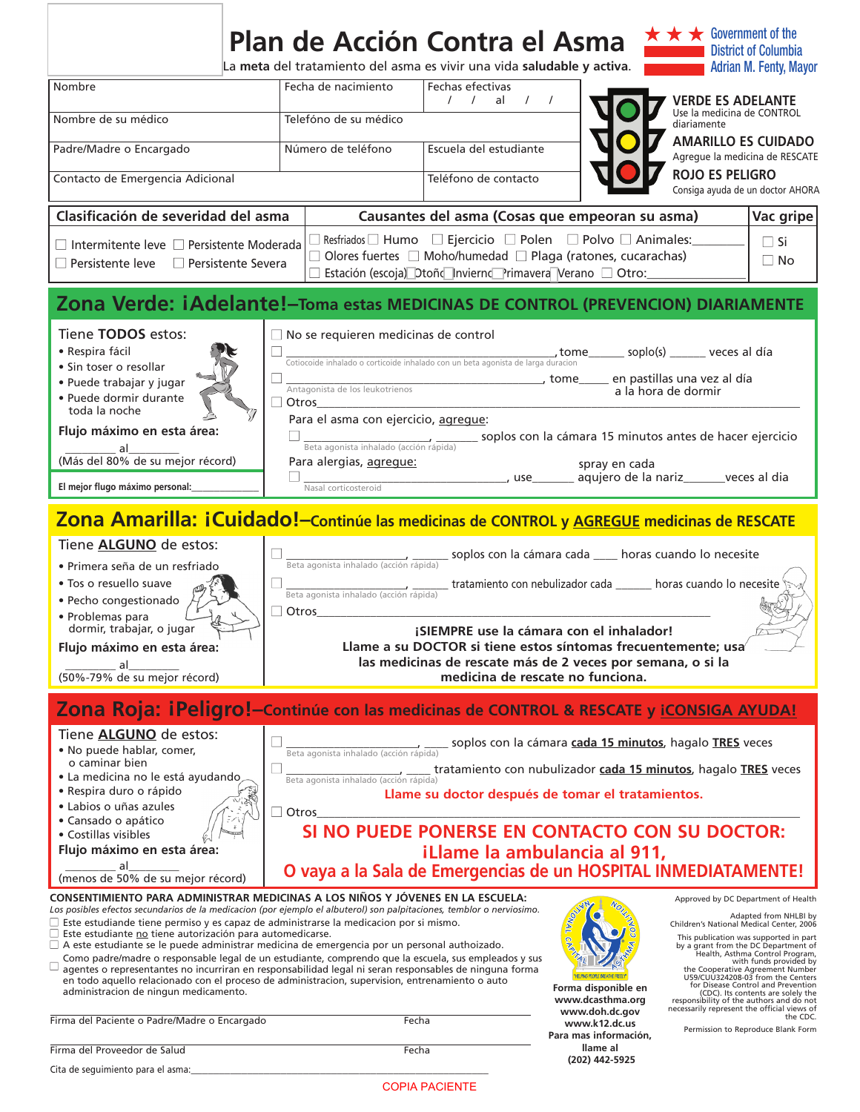|                                                                                                                                                                                                                                                                                                                                                                                                                                                                                                                                                                                                                                                                                                                                                                                                                                                                                            | Plan de Acción Contra el Asma<br>La meta del tratamiento del asma es vivir una vida saludable y activa.                                                                                                                                                                                                          |                                                                                                                                                                                                              |                                                                                                                            | $\star \star \star$ Government of the<br><b>District of Columbia</b><br><b>Adrian M. Fenty, Mayor</b>                                                                                                                                                                                                                                                                                       |  |  |
|--------------------------------------------------------------------------------------------------------------------------------------------------------------------------------------------------------------------------------------------------------------------------------------------------------------------------------------------------------------------------------------------------------------------------------------------------------------------------------------------------------------------------------------------------------------------------------------------------------------------------------------------------------------------------------------------------------------------------------------------------------------------------------------------------------------------------------------------------------------------------------------------|------------------------------------------------------------------------------------------------------------------------------------------------------------------------------------------------------------------------------------------------------------------------------------------------------------------|--------------------------------------------------------------------------------------------------------------------------------------------------------------------------------------------------------------|----------------------------------------------------------------------------------------------------------------------------|---------------------------------------------------------------------------------------------------------------------------------------------------------------------------------------------------------------------------------------------------------------------------------------------------------------------------------------------------------------------------------------------|--|--|
| Nombre                                                                                                                                                                                                                                                                                                                                                                                                                                                                                                                                                                                                                                                                                                                                                                                                                                                                                     | Fecha de nacimiento                                                                                                                                                                                                                                                                                              | Fechas efectivas<br>al $/$ $/$<br>$\left  \begin{array}{cc} \end{array} \right $                                                                                                                             |                                                                                                                            | <b>VERDE ES ADELANTE</b>                                                                                                                                                                                                                                                                                                                                                                    |  |  |
| Nombre de su médico                                                                                                                                                                                                                                                                                                                                                                                                                                                                                                                                                                                                                                                                                                                                                                                                                                                                        | Telefóno de su médico                                                                                                                                                                                                                                                                                            |                                                                                                                                                                                                              | Use la medicina de CONTROL<br>diariamente                                                                                  |                                                                                                                                                                                                                                                                                                                                                                                             |  |  |
| Padre/Madre o Encargado                                                                                                                                                                                                                                                                                                                                                                                                                                                                                                                                                                                                                                                                                                                                                                                                                                                                    | Número de teléfono                                                                                                                                                                                                                                                                                               | Escuela del estudiante                                                                                                                                                                                       |                                                                                                                            | <b>AMARILLO ES CUIDADO</b><br>Agregue la medicina de RESCATE                                                                                                                                                                                                                                                                                                                                |  |  |
| Contacto de Emergencia Adicional                                                                                                                                                                                                                                                                                                                                                                                                                                                                                                                                                                                                                                                                                                                                                                                                                                                           |                                                                                                                                                                                                                                                                                                                  | Teléfono de contacto                                                                                                                                                                                         |                                                                                                                            | <b>ROJO ES PELIGRO</b><br>Consiga ayuda de un doctor AHORA                                                                                                                                                                                                                                                                                                                                  |  |  |
| Clasificación de severidad del asma                                                                                                                                                                                                                                                                                                                                                                                                                                                                                                                                                                                                                                                                                                                                                                                                                                                        |                                                                                                                                                                                                                                                                                                                  | Causantes del asma (Cosas que empeoran su asma)                                                                                                                                                              |                                                                                                                            | Vac gripe                                                                                                                                                                                                                                                                                                                                                                                   |  |  |
| $\Box$ Intermitente leve $\Box$ Persistente Moderada<br>$\Box$ Persistente leve $\Box$ Persistente Severa                                                                                                                                                                                                                                                                                                                                                                                                                                                                                                                                                                                                                                                                                                                                                                                  | $\Box$ Resfriados $\Box$ Humo $\Box$ Ejercicio $\Box$ Polen $\Box$ Polvo $\Box$ Animales:<br>$\Box$ Si<br>$\Box$ Olores fuertes $\Box$ Moho/humedad $\Box$ Plaga (ratones, cucarachas)<br>$\Box$ No<br>□ Estación (escoja) Dtoñ< Inviernc Primavera Verano □ Otro:                                               |                                                                                                                                                                                                              |                                                                                                                            |                                                                                                                                                                                                                                                                                                                                                                                             |  |  |
| Zona Verde: iAdelante!- Toma estas MEDICINAS DE CONTROL (PREVENCION) DIARIAMENTE                                                                                                                                                                                                                                                                                                                                                                                                                                                                                                                                                                                                                                                                                                                                                                                                           |                                                                                                                                                                                                                                                                                                                  |                                                                                                                                                                                                              |                                                                                                                            |                                                                                                                                                                                                                                                                                                                                                                                             |  |  |
| Tiene TODOS estos:<br>• Respira fácil<br>· Sin toser o resollar<br>• Puede trabajar y jugar<br>· Puede dormir durante<br>toda la noche<br>Flujo máximo en esta área:<br>al<br>(Más del 80% de su mejor récord)<br>El mejor flugo máximo personal:                                                                                                                                                                                                                                                                                                                                                                                                                                                                                                                                                                                                                                          | $\Box$ No se requieren medicinas de control<br>Cotiocoide inhalado o corticoide inhalado con un beta agonista de larga duracion<br>Antagonista de los leukotrienos<br>Otros<br>Para el asma con ejercicio, agregue:<br>Beta agonista inhalado (acción rápida)<br>Para alergias, agregue:<br>Nasal corticosteroid |                                                                                                                                                                                                              | tome soplo(s) veces al día<br>_______________, tome_______ en pastillas una vez al día<br>spray en cada                    | a la hora de dormir<br>soplos con la cámara 15 minutos antes de hacer ejercicio<br>Letter and a series and a series and the sequence of the sequence of the series and dialog and the series of the series of the series of the series of the series of the series of the series of the series of the series of t                                                                           |  |  |
| Zona Amarilla: iCuidado!-Continúe las medicinas de CONTROL y <b>AGREGUE</b> medicinas de RESCATE                                                                                                                                                                                                                                                                                                                                                                                                                                                                                                                                                                                                                                                                                                                                                                                           |                                                                                                                                                                                                                                                                                                                  |                                                                                                                                                                                                              |                                                                                                                            |                                                                                                                                                                                                                                                                                                                                                                                             |  |  |
| Tiene <b>ALGUNO</b> de estos:<br>· Primera seña de un resfriado<br>· Tos o resuello suave<br>· Pecho congestionado<br>• Problemas para<br>dormir, trabajar, o jugar<br>Flujo máximo en esta área:<br>al<br>(50%-79% de su mejor récord)                                                                                                                                                                                                                                                                                                                                                                                                                                                                                                                                                                                                                                                    | Beta agonista inhalado (acción rápida)<br>Beta agonista inhalado (acción rápida)<br>$\Box$ Otros                                                                                                                                                                                                                 | ¡SIEMPRE use la cámara con el inhalador!<br>Llame a su DOCTOR si tiene estos síntomas frecuentemente; usa<br>las medicinas de rescate más de 2 veces por semana, o si la<br>medicina de rescate no funciona. | soplos con la cámara cada ___ horas cuando lo necesite<br>tratamiento con nebulizador cada ______ horas cuando lo necesite |                                                                                                                                                                                                                                                                                                                                                                                             |  |  |
| Zona Roja: iPeligro!-Continúe con las medicinas de CONTROL & RESCATE y <i>iCONSIGA AYUDA!</i>                                                                                                                                                                                                                                                                                                                                                                                                                                                                                                                                                                                                                                                                                                                                                                                              |                                                                                                                                                                                                                                                                                                                  |                                                                                                                                                                                                              |                                                                                                                            |                                                                                                                                                                                                                                                                                                                                                                                             |  |  |
| Tiene ALGUNO de estos:<br>. No puede hablar, comer,<br>o caminar bien<br>• La medicina no le está ayudando<br>· Respira duro o rápido<br>• Labios o uñas azules<br>• Cansado o apático<br>• Costillas visibles<br>Flujo máximo en esta área:<br>al<br>(menos de 50% de su mejor récord)<br>CONSENTIMIENTO PARA ADMINISTRAR MEDICINAS A LOS NIÑOS Y JÓVENES EN LA ESCUELA:<br>Los posibles efectos secundarios de la medicacion (por ejemplo el albuterol) son palpitaciones, temblor o nerviosimo.<br>$\Box$ Este estudiande tiene permiso y es capaz de administrarse la medicacion por si mismo.<br>$\Box$ Este estudiante no tiene autorización para automedicarse.<br>$\Box$ A este estudiante se le puede administrar medicina de emergencia por un personal authoizado.<br>Como padre/madre o responsable legal de un estudiante, comprendo que la escuela, sus empleados y sus<br>Ц | Beta agonista inhalado (acción rápida)<br>Beta agonista inhalado (acción rápida)<br>$\Box$ Otros                                                                                                                                                                                                                 | Llame su doctor después de tomar el tratamientos.<br>SI NO PUEDE PONERSE EN CONTACTO CON SU DOCTOR:<br>iLlame la ambulancia al 911,                                                                          | soplos con la cámara cada 15 minutos, hagalo TRES veces                                                                    | tratamiento con nubulizador cada 15 minutos, hagalo TRES veces<br>O vaya a la Sala de Emergencias de un HOSPITAL INMEDIATAMENTE!<br>Approved by DC Department of Health<br>Adapted from NHLBI by<br>Children's National Medical Center, 2006<br>This publication was supported in part<br>by a grant from the DC Department of<br>Health, Asthma Control Program,<br>with funds provided by |  |  |
| agentes o representantes no incurriran en responsabilidad legal ni seran responsables de ninguna forma<br>en todo aquello relacionado con el proceso de administracion, supervision, entrenamiento o auto<br>administracion de ningun medicamento.<br>Firma del Paciente o Padre/Madre o Encargado                                                                                                                                                                                                                                                                                                                                                                                                                                                                                                                                                                                         | Fecha                                                                                                                                                                                                                                                                                                            |                                                                                                                                                                                                              | Forma disponible en<br>www.dcasthma.org<br>www.doh.dc.gov<br>www.k12.dc.us                                                 | the Cooperative Agreement Number<br>U59/CUU324208-03 from the Centers<br>for Disease Control and Prevention<br>(CDC). Its contents are solely the<br>responsibility of the authors and do not<br>necessarily represent the official views of<br>the CDC.<br>Permission to Reproduce Blank Form                                                                                              |  |  |
| Firma del Proveedor de Salud                                                                                                                                                                                                                                                                                                                                                                                                                                                                                                                                                                                                                                                                                                                                                                                                                                                               | Fecha                                                                                                                                                                                                                                                                                                            |                                                                                                                                                                                                              | Para mas información,<br>llame al                                                                                          |                                                                                                                                                                                                                                                                                                                                                                                             |  |  |

COPIA PACIENTE

**(202) 442-5925**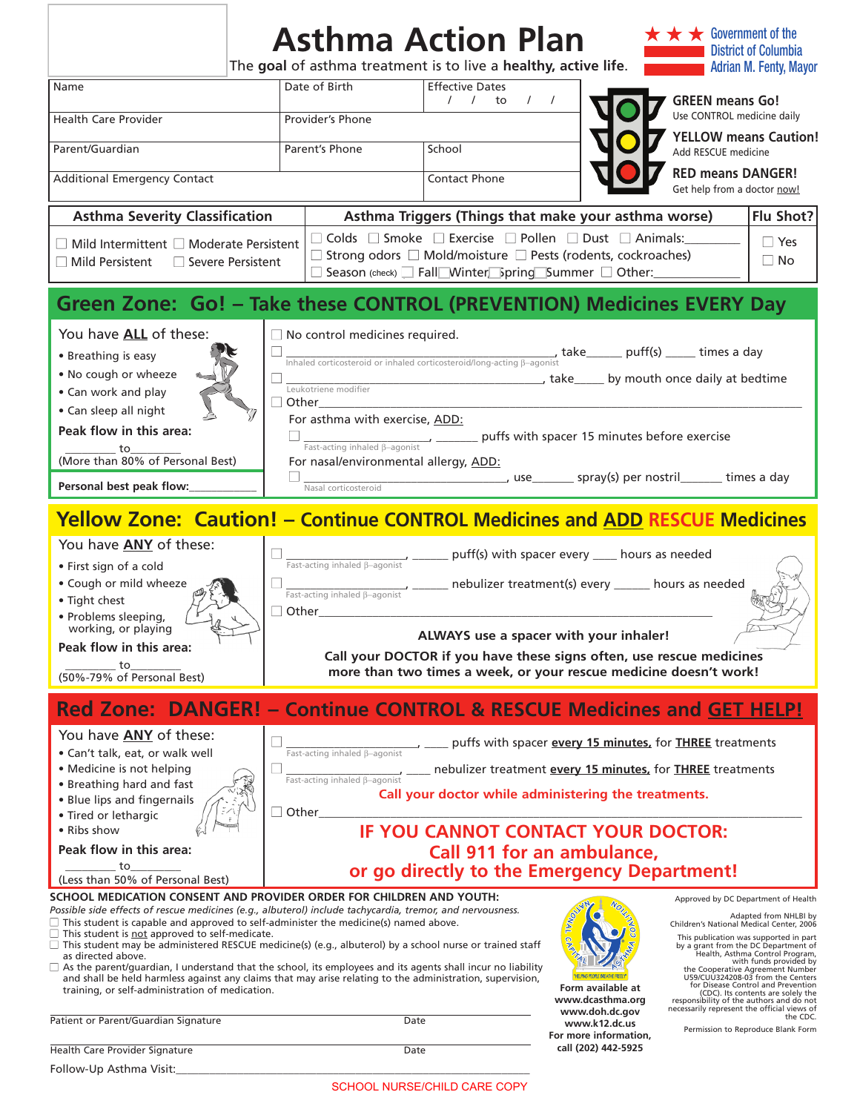| Date of Birth<br><b>Effective Dates</b><br>Name<br><b>GREEN means Go!</b><br>1 / 10<br>$\sqrt{ }$<br>Use CONTROL medicine daily<br><b>Health Care Provider</b><br>Provider's Phone<br>Parent/Guardian<br>Parent's Phone<br>School<br>Add RESCUE medicine<br><b>RED means DANGER!</b><br><b>Additional Emergency Contact</b><br><b>Contact Phone</b><br>Get help from a doctor now!<br><b>Asthma Severity Classification</b><br>Asthma Triggers (Things that make your asthma worse)<br>Flu Shot?<br>$\Box$ Colds $\Box$ Smoke $\Box$ Exercise $\Box$ Pollen $\Box$ Dust $\Box$ Animals:<br>$\Box$ Yes<br>$\Box$ Mild Intermittent $\Box$ Moderate Persistent<br>$\Box$ Strong odors $\Box$ Mold/moisture $\Box$ Pests (rodents, cockroaches)<br>$\Box$ No<br>$\Box$ Mild Persistent<br>$\Box$ Severe Persistent<br>□ Season (check) □ Fall Winter Spring Summer □ Other:<br>Green Zone: Go! - Take these CONTROL (PREVENTION) Medicines EVERY Day<br>You have ALL of these:<br>$\Box$ No control medicines required.<br>$\frac{1}{\text{Inhaled corticosteroid or inhaled corticosteroid/long-acting } \beta\text{-agonist}} \text{take}\_ \text{puff(s)}\_\text{m} \text{times a day}$<br>• Breathing is easy<br>. No cough or wheeze<br>take_____ by mouth once daily at bedtime<br>Leukotriene modifier<br>• Can work and play<br>Other<br>• Can sleep all night<br>For asthma with exercise, ADD:<br>Peak flow in this area:<br>puffs with spacer 15 minutes before exercise<br>Fast-acting inhaled $\beta$ -agonist<br>_ to_<br>(More than 80% of Personal Best)<br>For nasal/environmental allergy, ADD:<br>_________________, use_________ spray(s) per nostril________ times a day<br>Personal best peak flow:<br>Nasal corticosteroid<br><b>Yellow Zone: Caution! - Continue CONTROL Medicines and ADD RESCUE Medicines</b><br>You have <b>ANY</b> of these:<br>puff(s) with spacer every ____ hours as needed<br>Fast-acting inhaled <b>B-agonist</b><br>· First sign of a cold<br>• Cough or mild wheeze<br>nebulizer treatment(s) every ______ hours as needed<br>Fast-acting inhaled $\beta$ -agonist<br>• Tight chest<br>$\Box$ Other<br>· Problems sleeping,<br>working, or playing<br>ALWAYS use a spacer with your inhaler!<br>Peak flow in this area:<br>Call your DOCTOR if you have these signs often, use rescue medicines<br>to<br>more than two times a week, or your rescue medicine doesn't work!<br>(50%-79% of Personal Best)<br><b>Red Zone: DANGER! - Continue CONTROL &amp; RESCUE Medicines and GET HELP!</b><br>You have <b>ANY</b> of these:<br>puffs with spacer every 15 minutes, for THREE treatments<br>Fast-acting inhaled B-agonist<br>• Can't talk, eat, or walk well<br>• Medicine is not helping<br>_ nebulizer treatment every 15 minutes, for THREE treatments<br>$Fast\text{-acting inhaled }\beta\text{-agonist}$<br>• Breathing hard and fast<br>Call your doctor while administering the treatments.<br>• Blue lips and fingernails<br>$\square$ Other<br>• Tired or lethargic<br><b>IF YOU CANNOT CONTACT YOUR DOCTOR:</b><br>• Ribs show<br>Peak flow in this area:<br>Call 911 for an ambulance,<br>to<br>or go directly to the Emergency Department!<br>(Less than 50% of Personal Best)<br>SCHOOL MEDICATION CONSENT AND PROVIDER ORDER FOR CHILDREN AND YOUTH:<br>Approved by DC Department of Health<br>Possible side effects of rescue medicines (e.g., albuterol) include tachycardia, tremor, and nervousness.<br>Adapted from NHLBI by<br>$\Box$ This student is capable and approved to self-administer the medicine(s) named above.<br>Children's National Medical Center, 2006<br>$\Box$ This student is not approved to self-medicate.<br>This publication was supported in part<br>$\Box$ This student may be administered RESCUE medicine(s) (e.g., albuterol) by a school nurse or trained staff<br>by a grant from the DC Department of<br>Health, Asthma Control Program,<br>as directed above.<br>with funds provided by<br>As the parent/guardian, I understand that the school, its employees and its agents shall incur no liability<br>the Cooperative Agreement Number<br>U59/CUU324208-03 from the Centers<br>and shall be held harmless against any claims that may arise relating to the administration, supervision,<br>for Disease Control and Prevention<br>Form available at<br>training, or self-administration of medication.<br>(CDC). Its contents are solely the<br>www.dcasthma.org<br>responsibility of the authors and do not<br>necessarily represent the official views of<br>www.doh.dc.gov<br>the CDC.<br>Patient or Parent/Guardian Signature<br>Date<br>www.k12.dc.us<br>Permission to Reproduce Blank Form<br>For more information,<br>call (202) 442-5925<br>Health Care Provider Signature<br>Date |                         | <b>Asthma Action Plan</b><br>The goal of asthma treatment is to live a healthy, active life. |  | $\star$ Government of the<br><b>District of Columbia</b><br><b>Adrian M. Fenty, Mayor</b> |  |
|------------------------------------------------------------------------------------------------------------------------------------------------------------------------------------------------------------------------------------------------------------------------------------------------------------------------------------------------------------------------------------------------------------------------------------------------------------------------------------------------------------------------------------------------------------------------------------------------------------------------------------------------------------------------------------------------------------------------------------------------------------------------------------------------------------------------------------------------------------------------------------------------------------------------------------------------------------------------------------------------------------------------------------------------------------------------------------------------------------------------------------------------------------------------------------------------------------------------------------------------------------------------------------------------------------------------------------------------------------------------------------------------------------------------------------------------------------------------------------------------------------------------------------------------------------------------------------------------------------------------------------------------------------------------------------------------------------------------------------------------------------------------------------------------------------------------------------------------------------------------------------------------------------------------------------------------------------------------------------------------------------------------------------------------------------------------------------------------------------------------------------------------------------------------------------------------------------------------------------------------------------------------------------------------------------------------------------------------------------------------------------------------------------------------------------------------------------------------------------------------------------------------------------------------------------------------------------------------------------------------------------------------------------------------------------------------------------------------------------------------------------------------------------------------------------------------------------------------------------------------------------------------------------------------------------------------------------------------------------------------------------------------------------------------------------------------------------------------------------------------------------------------------------------------------------------------------------------------------------------------------------------------------------------------------------------------------------------------------------------------------------------------------------------------------------------------------------------------------------------------------------------------------------------------------------------------------------------------------------------------------------------------------------------------------------------------------------------------------------------------------------------------------------------------------------------------------------------------------------------------------------------------------------------------------------------------------------------------------------------------------------------------------------------------------------------------------------------------------------------------------------------------------------------------------------------------------------------------------------------------------------------------------------------------------------------------------------------------------------------------------------------------------------------------------------------------------------------------------------------------------------------------------------------------------------------------------------------------------------------------------------------------------------------------------------------------------------------------------------------------------------------------------------------------------|-------------------------|----------------------------------------------------------------------------------------------|--|-------------------------------------------------------------------------------------------|--|
| <b>YELLOW means Caution!</b>                                                                                                                                                                                                                                                                                                                                                                                                                                                                                                                                                                                                                                                                                                                                                                                                                                                                                                                                                                                                                                                                                                                                                                                                                                                                                                                                                                                                                                                                                                                                                                                                                                                                                                                                                                                                                                                                                                                                                                                                                                                                                                                                                                                                                                                                                                                                                                                                                                                                                                                                                                                                                                                                                                                                                                                                                                                                                                                                                                                                                                                                                                                                                                                                                                                                                                                                                                                                                                                                                                                                                                                                                                                                                                                                                                                                                                                                                                                                                                                                                                                                                                                                                                                                                                                                                                                                                                                                                                                                                                                                                                                                                                                                                                                                                                         |                         |                                                                                              |  |                                                                                           |  |
|                                                                                                                                                                                                                                                                                                                                                                                                                                                                                                                                                                                                                                                                                                                                                                                                                                                                                                                                                                                                                                                                                                                                                                                                                                                                                                                                                                                                                                                                                                                                                                                                                                                                                                                                                                                                                                                                                                                                                                                                                                                                                                                                                                                                                                                                                                                                                                                                                                                                                                                                                                                                                                                                                                                                                                                                                                                                                                                                                                                                                                                                                                                                                                                                                                                                                                                                                                                                                                                                                                                                                                                                                                                                                                                                                                                                                                                                                                                                                                                                                                                                                                                                                                                                                                                                                                                                                                                                                                                                                                                                                                                                                                                                                                                                                                                                      |                         |                                                                                              |  |                                                                                           |  |
|                                                                                                                                                                                                                                                                                                                                                                                                                                                                                                                                                                                                                                                                                                                                                                                                                                                                                                                                                                                                                                                                                                                                                                                                                                                                                                                                                                                                                                                                                                                                                                                                                                                                                                                                                                                                                                                                                                                                                                                                                                                                                                                                                                                                                                                                                                                                                                                                                                                                                                                                                                                                                                                                                                                                                                                                                                                                                                                                                                                                                                                                                                                                                                                                                                                                                                                                                                                                                                                                                                                                                                                                                                                                                                                                                                                                                                                                                                                                                                                                                                                                                                                                                                                                                                                                                                                                                                                                                                                                                                                                                                                                                                                                                                                                                                                                      |                         |                                                                                              |  |                                                                                           |  |
|                                                                                                                                                                                                                                                                                                                                                                                                                                                                                                                                                                                                                                                                                                                                                                                                                                                                                                                                                                                                                                                                                                                                                                                                                                                                                                                                                                                                                                                                                                                                                                                                                                                                                                                                                                                                                                                                                                                                                                                                                                                                                                                                                                                                                                                                                                                                                                                                                                                                                                                                                                                                                                                                                                                                                                                                                                                                                                                                                                                                                                                                                                                                                                                                                                                                                                                                                                                                                                                                                                                                                                                                                                                                                                                                                                                                                                                                                                                                                                                                                                                                                                                                                                                                                                                                                                                                                                                                                                                                                                                                                                                                                                                                                                                                                                                                      |                         |                                                                                              |  |                                                                                           |  |
|                                                                                                                                                                                                                                                                                                                                                                                                                                                                                                                                                                                                                                                                                                                                                                                                                                                                                                                                                                                                                                                                                                                                                                                                                                                                                                                                                                                                                                                                                                                                                                                                                                                                                                                                                                                                                                                                                                                                                                                                                                                                                                                                                                                                                                                                                                                                                                                                                                                                                                                                                                                                                                                                                                                                                                                                                                                                                                                                                                                                                                                                                                                                                                                                                                                                                                                                                                                                                                                                                                                                                                                                                                                                                                                                                                                                                                                                                                                                                                                                                                                                                                                                                                                                                                                                                                                                                                                                                                                                                                                                                                                                                                                                                                                                                                                                      |                         |                                                                                              |  |                                                                                           |  |
|                                                                                                                                                                                                                                                                                                                                                                                                                                                                                                                                                                                                                                                                                                                                                                                                                                                                                                                                                                                                                                                                                                                                                                                                                                                                                                                                                                                                                                                                                                                                                                                                                                                                                                                                                                                                                                                                                                                                                                                                                                                                                                                                                                                                                                                                                                                                                                                                                                                                                                                                                                                                                                                                                                                                                                                                                                                                                                                                                                                                                                                                                                                                                                                                                                                                                                                                                                                                                                                                                                                                                                                                                                                                                                                                                                                                                                                                                                                                                                                                                                                                                                                                                                                                                                                                                                                                                                                                                                                                                                                                                                                                                                                                                                                                                                                                      |                         |                                                                                              |  |                                                                                           |  |
|                                                                                                                                                                                                                                                                                                                                                                                                                                                                                                                                                                                                                                                                                                                                                                                                                                                                                                                                                                                                                                                                                                                                                                                                                                                                                                                                                                                                                                                                                                                                                                                                                                                                                                                                                                                                                                                                                                                                                                                                                                                                                                                                                                                                                                                                                                                                                                                                                                                                                                                                                                                                                                                                                                                                                                                                                                                                                                                                                                                                                                                                                                                                                                                                                                                                                                                                                                                                                                                                                                                                                                                                                                                                                                                                                                                                                                                                                                                                                                                                                                                                                                                                                                                                                                                                                                                                                                                                                                                                                                                                                                                                                                                                                                                                                                                                      |                         |                                                                                              |  |                                                                                           |  |
|                                                                                                                                                                                                                                                                                                                                                                                                                                                                                                                                                                                                                                                                                                                                                                                                                                                                                                                                                                                                                                                                                                                                                                                                                                                                                                                                                                                                                                                                                                                                                                                                                                                                                                                                                                                                                                                                                                                                                                                                                                                                                                                                                                                                                                                                                                                                                                                                                                                                                                                                                                                                                                                                                                                                                                                                                                                                                                                                                                                                                                                                                                                                                                                                                                                                                                                                                                                                                                                                                                                                                                                                                                                                                                                                                                                                                                                                                                                                                                                                                                                                                                                                                                                                                                                                                                                                                                                                                                                                                                                                                                                                                                                                                                                                                                                                      |                         |                                                                                              |  |                                                                                           |  |
|                                                                                                                                                                                                                                                                                                                                                                                                                                                                                                                                                                                                                                                                                                                                                                                                                                                                                                                                                                                                                                                                                                                                                                                                                                                                                                                                                                                                                                                                                                                                                                                                                                                                                                                                                                                                                                                                                                                                                                                                                                                                                                                                                                                                                                                                                                                                                                                                                                                                                                                                                                                                                                                                                                                                                                                                                                                                                                                                                                                                                                                                                                                                                                                                                                                                                                                                                                                                                                                                                                                                                                                                                                                                                                                                                                                                                                                                                                                                                                                                                                                                                                                                                                                                                                                                                                                                                                                                                                                                                                                                                                                                                                                                                                                                                                                                      |                         |                                                                                              |  |                                                                                           |  |
|                                                                                                                                                                                                                                                                                                                                                                                                                                                                                                                                                                                                                                                                                                                                                                                                                                                                                                                                                                                                                                                                                                                                                                                                                                                                                                                                                                                                                                                                                                                                                                                                                                                                                                                                                                                                                                                                                                                                                                                                                                                                                                                                                                                                                                                                                                                                                                                                                                                                                                                                                                                                                                                                                                                                                                                                                                                                                                                                                                                                                                                                                                                                                                                                                                                                                                                                                                                                                                                                                                                                                                                                                                                                                                                                                                                                                                                                                                                                                                                                                                                                                                                                                                                                                                                                                                                                                                                                                                                                                                                                                                                                                                                                                                                                                                                                      |                         |                                                                                              |  |                                                                                           |  |
|                                                                                                                                                                                                                                                                                                                                                                                                                                                                                                                                                                                                                                                                                                                                                                                                                                                                                                                                                                                                                                                                                                                                                                                                                                                                                                                                                                                                                                                                                                                                                                                                                                                                                                                                                                                                                                                                                                                                                                                                                                                                                                                                                                                                                                                                                                                                                                                                                                                                                                                                                                                                                                                                                                                                                                                                                                                                                                                                                                                                                                                                                                                                                                                                                                                                                                                                                                                                                                                                                                                                                                                                                                                                                                                                                                                                                                                                                                                                                                                                                                                                                                                                                                                                                                                                                                                                                                                                                                                                                                                                                                                                                                                                                                                                                                                                      |                         |                                                                                              |  |                                                                                           |  |
|                                                                                                                                                                                                                                                                                                                                                                                                                                                                                                                                                                                                                                                                                                                                                                                                                                                                                                                                                                                                                                                                                                                                                                                                                                                                                                                                                                                                                                                                                                                                                                                                                                                                                                                                                                                                                                                                                                                                                                                                                                                                                                                                                                                                                                                                                                                                                                                                                                                                                                                                                                                                                                                                                                                                                                                                                                                                                                                                                                                                                                                                                                                                                                                                                                                                                                                                                                                                                                                                                                                                                                                                                                                                                                                                                                                                                                                                                                                                                                                                                                                                                                                                                                                                                                                                                                                                                                                                                                                                                                                                                                                                                                                                                                                                                                                                      |                         |                                                                                              |  |                                                                                           |  |
|                                                                                                                                                                                                                                                                                                                                                                                                                                                                                                                                                                                                                                                                                                                                                                                                                                                                                                                                                                                                                                                                                                                                                                                                                                                                                                                                                                                                                                                                                                                                                                                                                                                                                                                                                                                                                                                                                                                                                                                                                                                                                                                                                                                                                                                                                                                                                                                                                                                                                                                                                                                                                                                                                                                                                                                                                                                                                                                                                                                                                                                                                                                                                                                                                                                                                                                                                                                                                                                                                                                                                                                                                                                                                                                                                                                                                                                                                                                                                                                                                                                                                                                                                                                                                                                                                                                                                                                                                                                                                                                                                                                                                                                                                                                                                                                                      |                         |                                                                                              |  |                                                                                           |  |
|                                                                                                                                                                                                                                                                                                                                                                                                                                                                                                                                                                                                                                                                                                                                                                                                                                                                                                                                                                                                                                                                                                                                                                                                                                                                                                                                                                                                                                                                                                                                                                                                                                                                                                                                                                                                                                                                                                                                                                                                                                                                                                                                                                                                                                                                                                                                                                                                                                                                                                                                                                                                                                                                                                                                                                                                                                                                                                                                                                                                                                                                                                                                                                                                                                                                                                                                                                                                                                                                                                                                                                                                                                                                                                                                                                                                                                                                                                                                                                                                                                                                                                                                                                                                                                                                                                                                                                                                                                                                                                                                                                                                                                                                                                                                                                                                      |                         |                                                                                              |  |                                                                                           |  |
|                                                                                                                                                                                                                                                                                                                                                                                                                                                                                                                                                                                                                                                                                                                                                                                                                                                                                                                                                                                                                                                                                                                                                                                                                                                                                                                                                                                                                                                                                                                                                                                                                                                                                                                                                                                                                                                                                                                                                                                                                                                                                                                                                                                                                                                                                                                                                                                                                                                                                                                                                                                                                                                                                                                                                                                                                                                                                                                                                                                                                                                                                                                                                                                                                                                                                                                                                                                                                                                                                                                                                                                                                                                                                                                                                                                                                                                                                                                                                                                                                                                                                                                                                                                                                                                                                                                                                                                                                                                                                                                                                                                                                                                                                                                                                                                                      |                         |                                                                                              |  |                                                                                           |  |
|                                                                                                                                                                                                                                                                                                                                                                                                                                                                                                                                                                                                                                                                                                                                                                                                                                                                                                                                                                                                                                                                                                                                                                                                                                                                                                                                                                                                                                                                                                                                                                                                                                                                                                                                                                                                                                                                                                                                                                                                                                                                                                                                                                                                                                                                                                                                                                                                                                                                                                                                                                                                                                                                                                                                                                                                                                                                                                                                                                                                                                                                                                                                                                                                                                                                                                                                                                                                                                                                                                                                                                                                                                                                                                                                                                                                                                                                                                                                                                                                                                                                                                                                                                                                                                                                                                                                                                                                                                                                                                                                                                                                                                                                                                                                                                                                      | ⊔                       |                                                                                              |  |                                                                                           |  |
|                                                                                                                                                                                                                                                                                                                                                                                                                                                                                                                                                                                                                                                                                                                                                                                                                                                                                                                                                                                                                                                                                                                                                                                                                                                                                                                                                                                                                                                                                                                                                                                                                                                                                                                                                                                                                                                                                                                                                                                                                                                                                                                                                                                                                                                                                                                                                                                                                                                                                                                                                                                                                                                                                                                                                                                                                                                                                                                                                                                                                                                                                                                                                                                                                                                                                                                                                                                                                                                                                                                                                                                                                                                                                                                                                                                                                                                                                                                                                                                                                                                                                                                                                                                                                                                                                                                                                                                                                                                                                                                                                                                                                                                                                                                                                                                                      |                         |                                                                                              |  |                                                                                           |  |
|                                                                                                                                                                                                                                                                                                                                                                                                                                                                                                                                                                                                                                                                                                                                                                                                                                                                                                                                                                                                                                                                                                                                                                                                                                                                                                                                                                                                                                                                                                                                                                                                                                                                                                                                                                                                                                                                                                                                                                                                                                                                                                                                                                                                                                                                                                                                                                                                                                                                                                                                                                                                                                                                                                                                                                                                                                                                                                                                                                                                                                                                                                                                                                                                                                                                                                                                                                                                                                                                                                                                                                                                                                                                                                                                                                                                                                                                                                                                                                                                                                                                                                                                                                                                                                                                                                                                                                                                                                                                                                                                                                                                                                                                                                                                                                                                      | Follow-Up Asthma Visit: |                                                                                              |  |                                                                                           |  |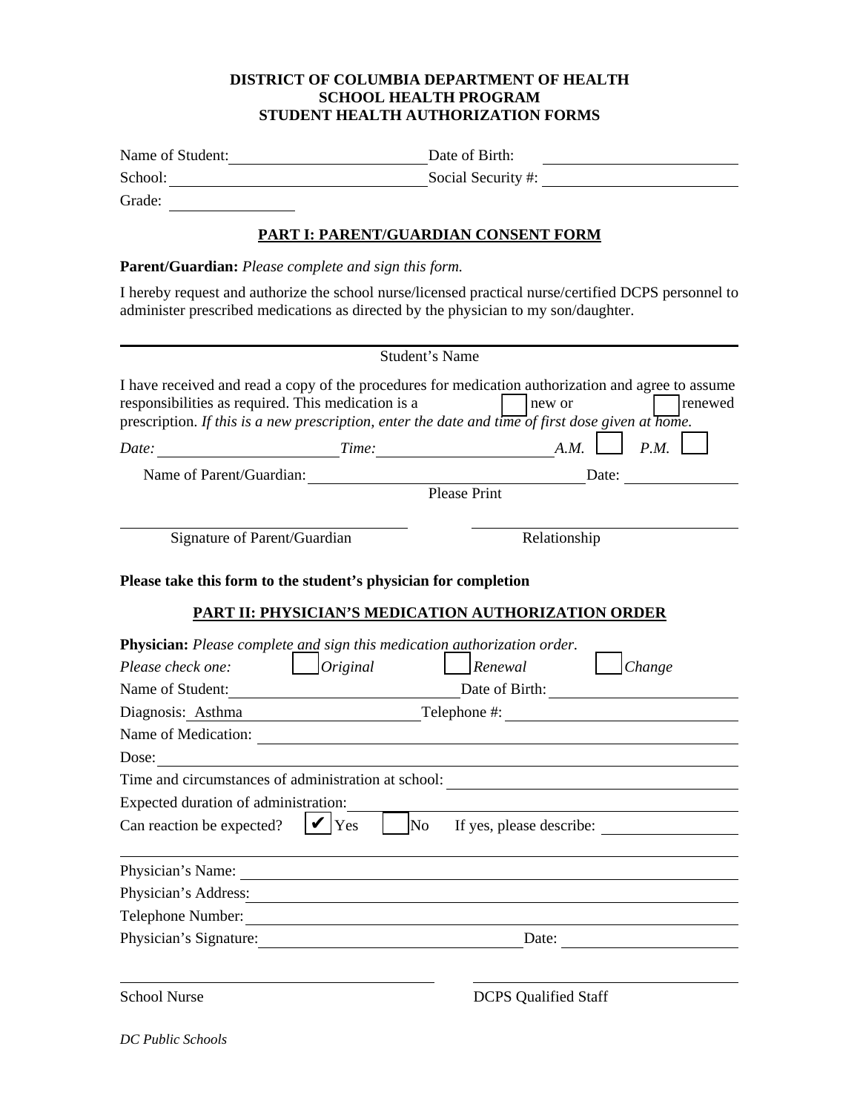## **DISTRICT OF COLUMBIA DEPARTMENT OF HEALTH SCHOOL HEALTH PROGRAM STUDENT HEALTH AUTHORIZATION FORMS**

| Name of Student:                                                | Date of Birth:                                                                                                                                                                                                                                               |  |  |  |  |
|-----------------------------------------------------------------|--------------------------------------------------------------------------------------------------------------------------------------------------------------------------------------------------------------------------------------------------------------|--|--|--|--|
| School:<br>Social Security #:                                   |                                                                                                                                                                                                                                                              |  |  |  |  |
| Grade:                                                          |                                                                                                                                                                                                                                                              |  |  |  |  |
|                                                                 | <b>PART I: PARENT/GUARDIAN CONSENT FORM</b>                                                                                                                                                                                                                  |  |  |  |  |
| <b>Parent/Guardian:</b> Please complete and sign this form.     |                                                                                                                                                                                                                                                              |  |  |  |  |
|                                                                 | I hereby request and authorize the school nurse/licensed practical nurse/certified DCPS personnel to<br>administer prescribed medications as directed by the physician to my son/daughter.                                                                   |  |  |  |  |
|                                                                 | Student's Name                                                                                                                                                                                                                                               |  |  |  |  |
| responsibilities as required. This medication is a<br>Date:     | I have received and read a copy of the procedures for medication authorization and agree to assume<br>renewed<br>new or<br>prescription. If this is a new prescription, enter the date and time of first dose given at home.<br>P.M.<br>A.M.<br><i>Time:</i> |  |  |  |  |
| Name of Parent/Guardian:                                        | Date:                                                                                                                                                                                                                                                        |  |  |  |  |
|                                                                 | <b>Please Print</b>                                                                                                                                                                                                                                          |  |  |  |  |
| Signature of Parent/Guardian                                    | Relationship                                                                                                                                                                                                                                                 |  |  |  |  |
|                                                                 |                                                                                                                                                                                                                                                              |  |  |  |  |
| Please take this form to the student's physician for completion |                                                                                                                                                                                                                                                              |  |  |  |  |
|                                                                 | PART II: PHYSICIAN'S MEDICATION AUTHORIZATION ORDER                                                                                                                                                                                                          |  |  |  |  |
|                                                                 |                                                                                                                                                                                                                                                              |  |  |  |  |
| Please check one:                                               | <b>Physician:</b> Please complete and sign this medication <i>authorization</i> order.<br>$O$ riginal<br>Renewal<br>Change                                                                                                                                   |  |  |  |  |
| Name of Student:                                                |                                                                                                                                                                                                                                                              |  |  |  |  |
|                                                                 |                                                                                                                                                                                                                                                              |  |  |  |  |
| Diagnosis: Asthma                                               | Telephone #:                                                                                                                                                                                                                                                 |  |  |  |  |
| Name of Medication:<br>Dose:                                    |                                                                                                                                                                                                                                                              |  |  |  |  |
|                                                                 | Time and circumstances of administration at school:                                                                                                                                                                                                          |  |  |  |  |
| Expected duration of administration:                            |                                                                                                                                                                                                                                                              |  |  |  |  |
| Can reaction be expected?                                       | Yes<br>No<br>If yes, please describe:                                                                                                                                                                                                                        |  |  |  |  |
| Physician's Name:                                               |                                                                                                                                                                                                                                                              |  |  |  |  |
| Physician's Address:                                            |                                                                                                                                                                                                                                                              |  |  |  |  |
| Telephone Number:                                               |                                                                                                                                                                                                                                                              |  |  |  |  |
| Physician's Signature:                                          | Date:                                                                                                                                                                                                                                                        |  |  |  |  |
|                                                                 |                                                                                                                                                                                                                                                              |  |  |  |  |
| <b>School Nurse</b>                                             | <b>DCPS</b> Qualified Staff                                                                                                                                                                                                                                  |  |  |  |  |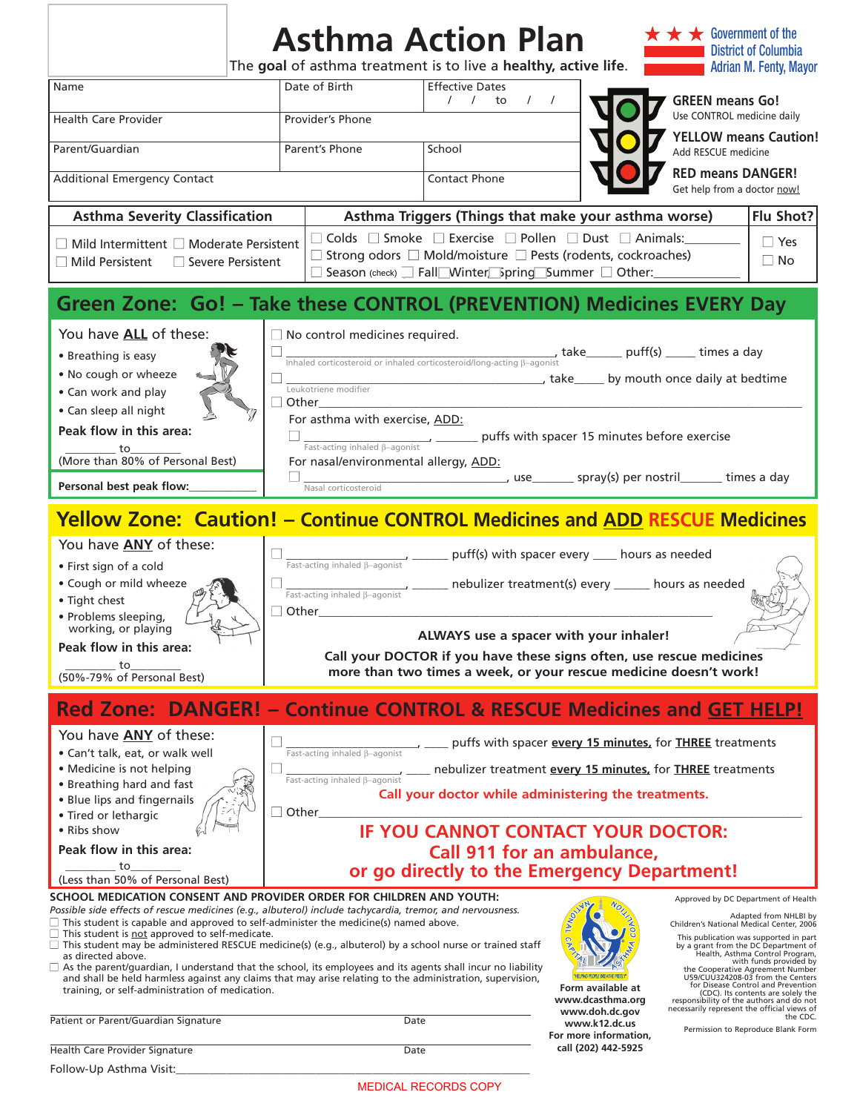|                                                                                                                                                                                                                                                                                                                                                                                                                                                                                                                                                                                                                                                                                                                                                                                 | <b>Asthma Action Plan</b><br>The goal of asthma treatment is to live a healthy, active life.                                                                                                                                                                                       |                                                    |                                                                                                                                                                                                                                                                                                | $\star$ Government of the<br><b>District of Columbia</b><br><b>Adrian M. Fenty, Mayor</b>                                                                                                                                                                                                                                                                                                                                                                                                               |  |  |  |
|---------------------------------------------------------------------------------------------------------------------------------------------------------------------------------------------------------------------------------------------------------------------------------------------------------------------------------------------------------------------------------------------------------------------------------------------------------------------------------------------------------------------------------------------------------------------------------------------------------------------------------------------------------------------------------------------------------------------------------------------------------------------------------|------------------------------------------------------------------------------------------------------------------------------------------------------------------------------------------------------------------------------------------------------------------------------------|----------------------------------------------------|------------------------------------------------------------------------------------------------------------------------------------------------------------------------------------------------------------------------------------------------------------------------------------------------|---------------------------------------------------------------------------------------------------------------------------------------------------------------------------------------------------------------------------------------------------------------------------------------------------------------------------------------------------------------------------------------------------------------------------------------------------------------------------------------------------------|--|--|--|
| Name                                                                                                                                                                                                                                                                                                                                                                                                                                                                                                                                                                                                                                                                                                                                                                            | Date of Birth                                                                                                                                                                                                                                                                      | <b>Effective Dates</b><br>$1 / 1$ to<br>$\sqrt{ }$ |                                                                                                                                                                                                                                                                                                | <b>GREEN means Go!</b>                                                                                                                                                                                                                                                                                                                                                                                                                                                                                  |  |  |  |
| <b>Health Care Provider</b>                                                                                                                                                                                                                                                                                                                                                                                                                                                                                                                                                                                                                                                                                                                                                     | Provider's Phone                                                                                                                                                                                                                                                                   |                                                    |                                                                                                                                                                                                                                                                                                | Use CONTROL medicine daily                                                                                                                                                                                                                                                                                                                                                                                                                                                                              |  |  |  |
| Parent/Guardian                                                                                                                                                                                                                                                                                                                                                                                                                                                                                                                                                                                                                                                                                                                                                                 | Parent's Phone                                                                                                                                                                                                                                                                     | School                                             |                                                                                                                                                                                                                                                                                                | <b>YELLOW means Caution!</b><br>Add RESCUE medicine                                                                                                                                                                                                                                                                                                                                                                                                                                                     |  |  |  |
| <b>Additional Emergency Contact</b>                                                                                                                                                                                                                                                                                                                                                                                                                                                                                                                                                                                                                                                                                                                                             |                                                                                                                                                                                                                                                                                    | Contact Phone                                      | <b>RED means DANGER!</b><br>Get help from a doctor now!                                                                                                                                                                                                                                        |                                                                                                                                                                                                                                                                                                                                                                                                                                                                                                         |  |  |  |
| <b>Asthma Severity Classification</b>                                                                                                                                                                                                                                                                                                                                                                                                                                                                                                                                                                                                                                                                                                                                           |                                                                                                                                                                                                                                                                                    |                                                    | Asthma Triggers (Things that make your asthma worse)                                                                                                                                                                                                                                           | Flu Shot?                                                                                                                                                                                                                                                                                                                                                                                                                                                                                               |  |  |  |
| $\Box$ Mild Intermittent $\Box$ Moderate Persistent<br>$\Box$ Mild Persistent<br>□ Severe Persistent                                                                                                                                                                                                                                                                                                                                                                                                                                                                                                                                                                                                                                                                            | $\Box$ Colds $\Box$ Smoke $\Box$ Exercise $\Box$ Pollen $\Box$ Dust $\Box$ Animals:<br>$\Box$ Yes<br>$\Box$ Strong odors $\Box$ Mold/moisture $\Box$ Pests (rodents, cockroaches)<br>$\Box$ No<br>□ Season (check) □ Fall Winter Spring Summer □ Other:                            |                                                    |                                                                                                                                                                                                                                                                                                |                                                                                                                                                                                                                                                                                                                                                                                                                                                                                                         |  |  |  |
| Green Zone: Go! - Take these CONTROL (PREVENTION) Medicines EVERY Day                                                                                                                                                                                                                                                                                                                                                                                                                                                                                                                                                                                                                                                                                                           |                                                                                                                                                                                                                                                                                    |                                                    |                                                                                                                                                                                                                                                                                                |                                                                                                                                                                                                                                                                                                                                                                                                                                                                                                         |  |  |  |
| You have ALL of these:<br>• Breathing is easy<br>. No cough or wheeze<br>• Can work and play<br>• Can sleep all night<br>Peak flow in this area:                                                                                                                                                                                                                                                                                                                                                                                                                                                                                                                                                                                                                                | $\Box$ No control medicines required.<br>$\frac{1}{\text{Inhaled corticosteroid or inhaled corticosteroid/long-acting } \beta\text{-agonist}} \text{, take}\_ \text{putff(s)}\_\text{meas} \text{ times a day}$<br>Leukotriene modifier<br>Other<br>For asthma with exercise, ADD: |                                                    | Lackborrow Lines Lines and the Lines Lines by mouth once daily at bedtime<br>_______ puffs with spacer 15 minutes before exercise                                                                                                                                                              |                                                                                                                                                                                                                                                                                                                                                                                                                                                                                                         |  |  |  |
| to<br>(More than 80% of Personal Best)                                                                                                                                                                                                                                                                                                                                                                                                                                                                                                                                                                                                                                                                                                                                          | Fast-acting inhaled $\beta$ -agonist<br>For nasal/environmental allergy, ADD:                                                                                                                                                                                                      |                                                    |                                                                                                                                                                                                                                                                                                |                                                                                                                                                                                                                                                                                                                                                                                                                                                                                                         |  |  |  |
| Personal best peak flow:_                                                                                                                                                                                                                                                                                                                                                                                                                                                                                                                                                                                                                                                                                                                                                       | Nasal corticosteroid                                                                                                                                                                                                                                                               |                                                    | Latin Control (Spray(s) per nostril________ times a day                                                                                                                                                                                                                                        |                                                                                                                                                                                                                                                                                                                                                                                                                                                                                                         |  |  |  |
| <b>Yellow Zone: Caution! - Continue CONTROL Medicines and ADD RESCUE Medicines</b>                                                                                                                                                                                                                                                                                                                                                                                                                                                                                                                                                                                                                                                                                              |                                                                                                                                                                                                                                                                                    |                                                    |                                                                                                                                                                                                                                                                                                |                                                                                                                                                                                                                                                                                                                                                                                                                                                                                                         |  |  |  |
| You have <b>ANY</b> of these:<br>• First sign of a cold<br>• Cough or mild wheeze<br>• Tight chest<br>· Problems sleeping,<br>working, or playing<br>Peak flow in this area:<br>to<br>(50%-79% of Personal Best)                                                                                                                                                                                                                                                                                                                                                                                                                                                                                                                                                                | Fast-acting inhaled B-agonist<br>Fast-acting inhaled $\beta$ -agonist<br>$\Box$ Other                                                                                                                                                                                              |                                                    | __ puff(s) with spacer every ___ hours as needed<br>nebulizer treatment(s) every ______ hours as needed<br>ALWAYS use a spacer with your inhaler!<br>Call your DOCTOR if you have these signs often, use rescue medicines<br>more than two times a week, or your rescue medicine doesn't work! |                                                                                                                                                                                                                                                                                                                                                                                                                                                                                                         |  |  |  |
| <b>Red Zone: DANGER! - Continue CONTROL &amp; RESCUE Medicines and GET HELP!</b>                                                                                                                                                                                                                                                                                                                                                                                                                                                                                                                                                                                                                                                                                                |                                                                                                                                                                                                                                                                                    |                                                    |                                                                                                                                                                                                                                                                                                |                                                                                                                                                                                                                                                                                                                                                                                                                                                                                                         |  |  |  |
| You have <b>ANY</b> of these:<br>• Can't talk, eat, or walk well<br>• Medicine is not helping<br>• Breathing hard and fast<br>• Blue lips and fingernails<br>• Tired or lethargic<br>• Ribs show                                                                                                                                                                                                                                                                                                                                                                                                                                                                                                                                                                                | Fast-acting inhaled B-agonist<br>Fast-acting inhaled $\beta$ -agonist<br>$\square$ Other                                                                                                                                                                                           |                                                    | puffs with spacer every 15 minutes, for THREE treatments<br>nebulizer treatment every 15 minutes, for THREE treatments<br>Call your doctor while administering the treatments.                                                                                                                 |                                                                                                                                                                                                                                                                                                                                                                                                                                                                                                         |  |  |  |
| Peak flow in this area:<br>to                                                                                                                                                                                                                                                                                                                                                                                                                                                                                                                                                                                                                                                                                                                                                   | <b>IF YOU CANNOT CONTACT YOUR DOCTOR:</b><br><b>Call 911 for an ambulance,</b><br>or go directly to the Emergency Department!                                                                                                                                                      |                                                    |                                                                                                                                                                                                                                                                                                |                                                                                                                                                                                                                                                                                                                                                                                                                                                                                                         |  |  |  |
| (Less than 50% of Personal Best)                                                                                                                                                                                                                                                                                                                                                                                                                                                                                                                                                                                                                                                                                                                                                |                                                                                                                                                                                                                                                                                    |                                                    |                                                                                                                                                                                                                                                                                                |                                                                                                                                                                                                                                                                                                                                                                                                                                                                                                         |  |  |  |
| SCHOOL MEDICATION CONSENT AND PROVIDER ORDER FOR CHILDREN AND YOUTH:<br>Possible side effects of rescue medicines (e.g., albuterol) include tachycardia, tremor, and nervousness.<br>$\Box$ This student is capable and approved to self-administer the medicine(s) named above.<br>$\Box$ This student is <u>not</u> approved to self-medicate.<br>$\Box$ This student may be administered RESCUE medicine(s) (e.g., albuterol) by a school nurse or trained staff<br>as directed above.<br>$\Box$ As the parent/guardian, I understand that the school, its employees and its agents shall incur no liability<br>and shall be held harmless against any claims that may arise relating to the administration, supervision,<br>training, or self-administration of medication. |                                                                                                                                                                                                                                                                                    |                                                    | Form available at<br>www.dcasthma.org                                                                                                                                                                                                                                                          | Approved by DC Department of Health<br>Adapted from NHLBI by<br>Children's National Medical Center, 2006<br>This publication was supported in part<br>by a grant from the DC Department of<br>Health, Asthma Control Program,<br>with funds provided by<br>the Cooperative Agreement Number<br>U59/CUU324208-03 from the Centers<br>for Disease Control and Prevention<br>(CDC). Its contents are solely the<br>responsibility of the authors and do not<br>necessarily represent the official views of |  |  |  |
| Patient or Parent/Guardian Signature                                                                                                                                                                                                                                                                                                                                                                                                                                                                                                                                                                                                                                                                                                                                            | Date                                                                                                                                                                                                                                                                               |                                                    | www.doh.dc.gov<br>www.k12.dc.us<br>For more information,                                                                                                                                                                                                                                       | the CDC.<br>Permission to Reproduce Blank Form                                                                                                                                                                                                                                                                                                                                                                                                                                                          |  |  |  |
| Health Care Provider Signature<br>Follow-Up Asthma Visit:                                                                                                                                                                                                                                                                                                                                                                                                                                                                                                                                                                                                                                                                                                                       | Date                                                                                                                                                                                                                                                                               |                                                    | call (202) 442-5925                                                                                                                                                                                                                                                                            |                                                                                                                                                                                                                                                                                                                                                                                                                                                                                                         |  |  |  |